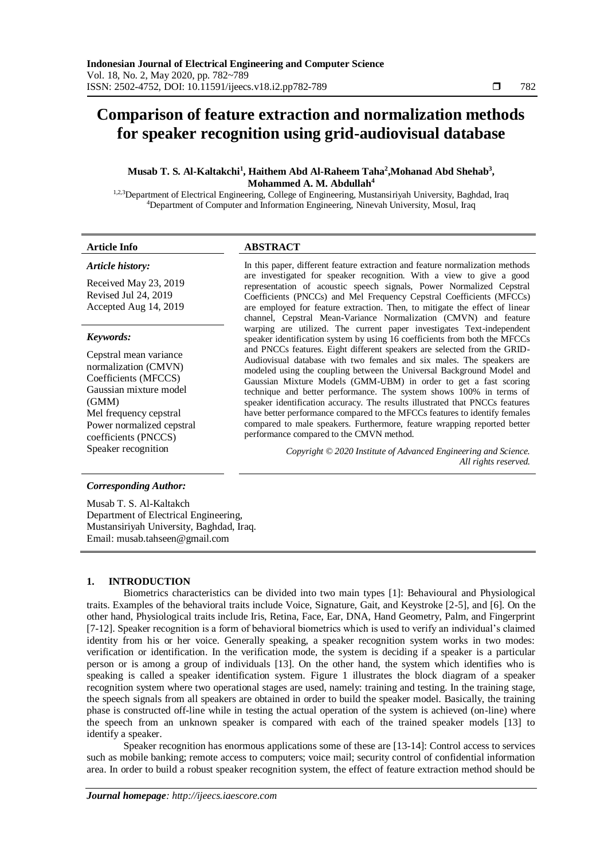# **Comparison of feature extraction and normalization methods for speaker recognition using grid-audiovisual database**

# Musab T. S. Al-Kaltakchi<sup>1</sup>, Haithem Abd Al-Raheem Taha<sup>2</sup>, Mohanad Abd Shehab<sup>3</sup>, **Mohammed A. M. Abdullah<sup>4</sup>**

<sup>1,2,3</sup>Department of Electrical Engineering, College of Engineering, Mustansiriyah University, Baghdad, Iraq <sup>4</sup>Department of Computer and Information Engineering, Ninevah University, Mosul, Iraq

# *Article history:*

Received May 23, 2019 Revised Jul 24, 2019 Accepted Aug 14, 2019

### *Keywords:*

Cepstral mean variance normalization (CMVN) Coefficients (MFCCS) Gaussian mixture model (GMM) Mel frequency cepstral Power normalized cepstral coefficients (PNCCS)

# **Article Info ABSTRACT**

In this paper, different feature extraction and feature normalization methods are investigated for speaker recognition. With a view to give a good representation of acoustic speech signals, Power Normalized Cepstral Coefficients (PNCCs) and Mel Frequency Cepstral Coefficients (MFCCs) are employed for feature extraction. Then, to mitigate the effect of linear channel, Cepstral Mean-Variance Normalization (CMVN) and feature warping are utilized. The current paper investigates Text-independent speaker identification system by using 16 coefficients from both the MFCCs and PNCCs features. Eight different speakers are selected from the GRID-Audiovisual database with two females and six males. The speakers are modeled using the coupling between the Universal Background Model and Gaussian Mixture Models (GMM-UBM) in order to get a fast scoring technique and better performance. The system shows 100% in terms of speaker identification accuracy. The results illustrated that PNCCs features have better performance compared to the MFCCs features to identify females compared to male speakers. Furthermore, feature wrapping reported better performance compared to the CMVN method.

Speaker recognition *Copyright © 2020 Institute of Advanced Engineering and Science. All rights reserved.*

### *Corresponding Author:*

Musab T. S. Al-Kaltakch Department of Electrical Engineering, Mustansiriyah University, Baghdad, Iraq. Email: [musab.tahseen@gmail.com](mailto:musab.tahseen@gmail.com)

# **1. INTRODUCTION**

Biometrics characteristics can be divided into two main types [1]: Behavioural and Physiological traits. Examples of the behavioral traits include Voice, Signature, Gait, and Keystroke [2-5], and [6]. On the other hand, Physiological traits include Iris, Retina, Face, Ear, DNA, Hand Geometry, Palm, and Fingerprint [7-12]. Speaker recognition is a form of behavioral biometrics which is used to verify an individual's claimed identity from his or her voice. Generally speaking, a speaker recognition system works in two modes: verification or identification. In the verification mode, the system is deciding if a speaker is a particular person or is among a group of individuals [13]. On the other hand, the system which identifies who is speaking is called a speaker identification system. Figure 1 illustrates the block diagram of a speaker recognition system where two operational stages are used, namely: training and testing. In the training stage, the speech signals from all speakers are obtained in order to build the speaker model. Basically, the training phase is constructed off-line while in testing the actual operation of the system is achieved (on-line) where the speech from an unknown speaker is compared with each of the trained speaker models [13] to identify a speaker.

Speaker recognition has enormous applications some of these are [13-14]: Control access to services such as mobile banking; remote access to computers; voice mail; security control of confidential information area. In order to build a robust speaker recognition system, the effect of feature extraction method should be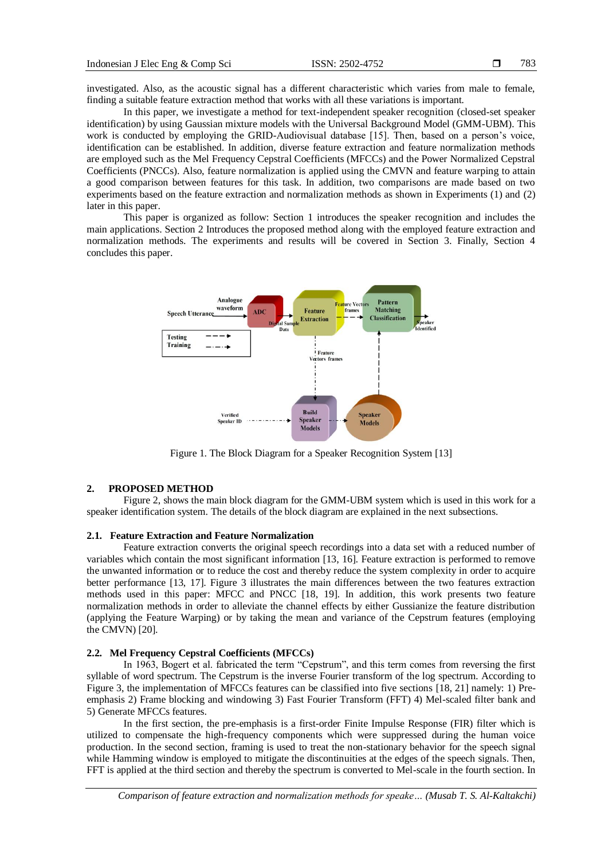investigated. Also, as the acoustic signal has a different characteristic which varies from male to female, finding a suitable feature extraction method that works with all these variations is important.

In this paper, we investigate a method for text-independent speaker recognition (closed-set speaker identification) by using Gaussian mixture models with the Universal Background Model (GMM-UBM). This work is conducted by employing the GRID-Audiovisual database [15]. Then, based on a person's voice, identification can be established. In addition, diverse feature extraction and feature normalization methods are employed such as the Mel Frequency Cepstral Coefficients (MFCCs) and the Power Normalized Cepstral Coefficients (PNCCs). Also, feature normalization is applied using the CMVN and feature warping to attain a good comparison between features for this task. In addition, two comparisons are made based on two experiments based on the feature extraction and normalization methods as shown in Experiments (1) and (2) later in this paper.

This paper is organized as follow: Section 1 introduces the speaker recognition and includes the main applications. Section 2 Introduces the proposed method along with the employed feature extraction and normalization methods. The experiments and results will be covered in Section 3. Finally, Section 4 concludes this paper.



Figure 1. The Block Diagram for a Speaker Recognition System [13]

#### **2. PROPOSED METHOD**

Figure 2, shows the main block diagram for the GMM-UBM system which is used in this work for a speaker identification system. The details of the block diagram are explained in the next subsections.

#### **2.1. Feature Extraction and Feature Normalization**

Feature extraction converts the original speech recordings into a data set with a reduced number of variables which contain the most significant information [13, 16]. Feature extraction is performed to remove the unwanted information or to reduce the cost and thereby reduce the system complexity in order to acquire better performance [13, 17]. Figure 3 illustrates the main differences between the two features extraction methods used in this paper: MFCC and PNCC [18, 19]. In addition, this work presents two feature normalization methods in order to alleviate the channel effects by either Gussianize the feature distribution (applying the Feature Warping) or by taking the mean and variance of the Cepstrum features (employing the CMVN) [20].

### **2.2. Mel Frequency Cepstral Coefficients (MFCCs)**

In 1963, Bogert et al. fabricated the term "Cepstrum", and this term comes from reversing the first syllable of word spectrum. The Cepstrum is the inverse Fourier transform of the log spectrum. According to Figure 3, the implementation of MFCCs features can be classified into five sections [18, 21] namely: 1) Preemphasis 2) Frame blocking and windowing 3) Fast Fourier Transform (FFT) 4) Mel-scaled filter bank and 5) Generate MFCCs features.

In the first section, the pre-emphasis is a first-order Finite Impulse Response (FIR) filter which is utilized to compensate the high-frequency components which were suppressed during the human voice production. In the second section, framing is used to treat the non-stationary behavior for the speech signal while Hamming window is employed to mitigate the discontinuities at the edges of the speech signals. Then, FFT is applied at the third section and thereby the spectrum is converted to Mel-scale in the fourth section. In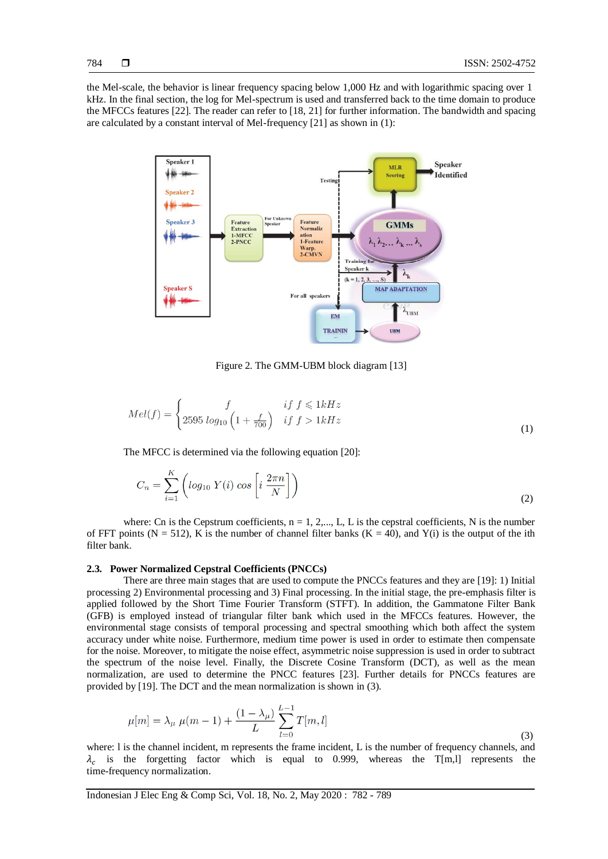the Mel-scale, the behavior is linear frequency spacing below 1,000 Hz and with logarithmic spacing over 1 kHz. In the final section, the log for Mel-spectrum is used and transferred back to the time domain to produce the MFCCs features [22]. The reader can refer to [18, 21] for further information. The bandwidth and spacing are calculated by a constant interval of Mel-frequency [21] as shown in (1):



Figure 2. The GMM-UBM block diagram [13]

$$
Mel(f) = \begin{cases} f & if \ f \leq 1kHz \\ 2595 \ log_{10} \left( 1 + \frac{f}{700} \right) & if \ f > 1kHz \end{cases}
$$
 (1)

The MFCC is determined via the following equation [20]:

$$
C_n = \sum_{i=1}^{K} \left( \log_{10} Y(i) \cos \left[ i \frac{2\pi n}{N} \right] \right) \tag{2}
$$

where: Cn is the Cepstrum coefficients,  $n = 1, 2,..., L$ , L is the cepstral coefficients, N is the number of FFT points (N = 512), K is the number of channel filter banks (K = 40), and Y(i) is the output of the ith filter bank.

#### **2.3. Power Normalized Cepstral Coefficients (PNCCs)**

There are three main stages that are used to compute the PNCCs features and they are [19]: 1) Initial processing 2) Environmental processing and 3) Final processing. In the initial stage, the pre-emphasis filter is applied followed by the Short Time Fourier Transform (STFT). In addition, the Gammatone Filter Bank (GFB) is employed instead of triangular filter bank which used in the MFCCs features. However, the environmental stage consists of temporal processing and spectral smoothing which both affect the system accuracy under white noise. Furthermore, medium time power is used in order to estimate then compensate for the noise. Moreover, to mitigate the noise effect, asymmetric noise suppression is used in order to subtract the spectrum of the noise level. Finally, the Discrete Cosine Transform (DCT), as well as the mean normalization, are used to determine the PNCC features [23]. Further details for PNCCs features are provided by [19]. The DCT and the mean normalization is shown in (3).

$$
\mu[m] = \lambda_{\mu} \ \mu(m-1) + \frac{(1 - \lambda_{\mu})}{L} \sum_{l=0}^{L-1} T[m, l] \tag{3}
$$

where: l is the channel incident, m represents the frame incident, L is the number of frequency channels, and  $\lambda_c$  is the forgetting factor which is equal to 0.999, whereas the T[m,1] represents the time-frequency normalization.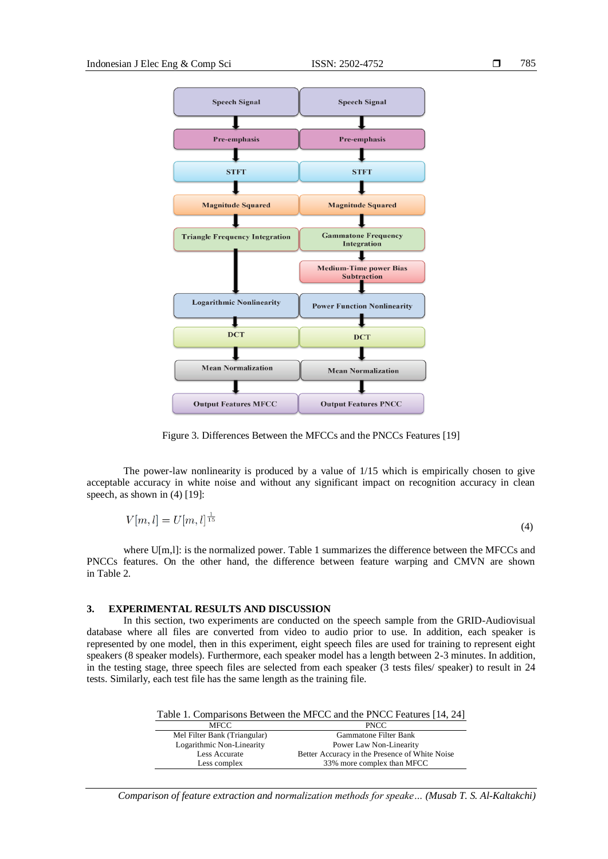

Figure 3. Differences Between the MFCCs and the PNCCs Features [19]

The power-law nonlinearity is produced by a value of 1/15 which is empirically chosen to give acceptable accuracy in white noise and without any significant impact on recognition accuracy in clean speech, as shown in  $(4)$  [19]:

$$
V[m,l] = U[m,l]^{\frac{1}{15}} \tag{4}
$$

where U[m,]]: is the normalized power. Table 1 summarizes the difference between the MFCCs and PNCCs features. On the other hand, the difference between feature warping and CMVN are shown in Table 2.

# **3. EXPERIMENTAL RESULTS AND DISCUSSION**

Less complex

In this section, two experiments are conducted on the speech sample from the GRID-Audiovisual database where all files are converted from video to audio prior to use. In addition, each speaker is represented by one model, then in this experiment, eight speech files are used for training to represent eight speakers (8 speaker models). Furthermore, each speaker model has a length between 2-3 minutes. In addition, in the testing stage, three speech files are selected from each speaker (3 tests files/ speaker) to result in 24 tests. Similarly, each test file has the same length as the training file.

|                              | Table 1. Comparisons Between the MFCC and the PNCC Features [14, 24] |
|------------------------------|----------------------------------------------------------------------|
| <b>MFCC</b>                  | <b>PNCC</b>                                                          |
| Mel Filter Bank (Triangular) | Gammatone Filter Bank                                                |
| Logarithmic Non-Linearity    | Power Law Non-Linearity                                              |
| Less Accurate                | Better Accuracy in the Presence of White Noise                       |

*Comparison of feature extraction and normalization methods for speake… (Musab T. S. Al-Kaltakchi)*

33% more complex than MFCC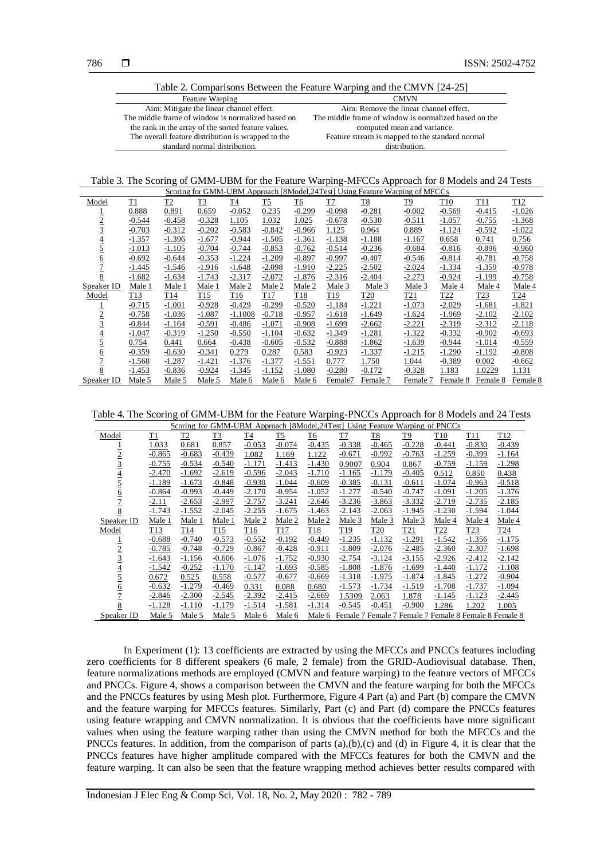Table 2. Comparisons Between the Feature Warping and the CMVN [24-25]

| <b>Feature Warping</b>                              | <b>CMVN</b>                                           |
|-----------------------------------------------------|-------------------------------------------------------|
| Aim: Mitigate the linear channel effect.            | Aim: Remove the linear channel effect.                |
| The middle frame of window is normalized based on   | The middle frame of window is normalized based on the |
| the rank in the array of the sorted feature values. | computed mean and variance.                           |
| The overall feature distribution is wrapped to the  | Feature stream is mapped to the standard normal       |
| standard normal distribution.                       | distribution                                          |

Table 3. The Scoring of GMM-UBM for the Feature Warping-MFCCs Approach for 8 Models and 24 Tests

| Scoring for GMM-UBM Approach [8Model, 24Test] Using Feature Warping of MFCCs |          |          |                 |                 |                 |           |                 |                 |            |                 |                 |                 |
|------------------------------------------------------------------------------|----------|----------|-----------------|-----------------|-----------------|-----------|-----------------|-----------------|------------|-----------------|-----------------|-----------------|
| Model                                                                        | T1       | T2       | T3              | T4              | <u>T5</u>       | <b>T6</b> | T7              | <u>T8</u>       | <u>T9</u>  | T <sub>10</sub> | T11             | T <sub>12</sub> |
|                                                                              | 0.888    | 0.891    | 0.659           | $-0.052$        | 0.235           | $-0.299$  | $-0.098$        | $-0.281$        | $-0.002$   | $-0.569$        | $-0.415$        | $-1.026$        |
| $\overline{2}$                                                               | $-0.544$ | $-0.458$ | $-0.328$        | 1.105           | 1.032           | 1.025     | $-0.678$        | $-0.530$        | $-0.511$   | $-1.057$        | $-0.755$        | $-1.368$        |
|                                                                              | $-0.703$ | $-0.312$ | $-0.202$        | $-0.583$        | $-0.842$        | $-0.966$  | 1.125           | 0.964           | 0.889      | $-1.124$        | $-0.592$        | $-1.022$        |
| $\overline{4}$                                                               | $-1.357$ | $-1.396$ | $-1.677$        | $-0.944$        | $-1.505$        | $-1.361$  | $-1.138$        | $-1.188$        | $-1.167$   | 0.658           | 0.741           | 0.756           |
|                                                                              | $-1.013$ | $-1.105$ | $-0.704$        | $-0.744$        | $-0.853$        | $-0.762$  | $-0.514$        | $-0.236$        | $-0.684$   | $-0.816$        | $-0.896$        | $-0.960$        |
| <u>6</u>                                                                     | $-0.692$ | $-0.644$ | $-0.353$        | $-1.224$        | $-1.209$        | $-0.897$  | $-0.997$        | $-0.407$        | $-0.546$   | $-0.814$        | $-0.781$        | $-0.758$        |
|                                                                              | $-1.445$ | $-1.546$ | $-1.916$        | $-1.648$        | $-2.098$        | $-1.910$  | $-2.225$        | $-2.502$        | $-2.024$   | $-1.334$        | $-1.359$        | $-0.978$        |
| 8                                                                            | $-1.682$ | $-1.634$ | $-1.743$        | $-2.317$        | $-2.072$        | $-1.876$  | $-2.316$        | $-2.404$        | $-2.273$   | $-0.924$        | $-1.199$        | $-0.758$        |
| Speaker ID                                                                   | Male 1   | Male 1   | Male 1          | Male 2          | Male 2          | Male 2    | Male 3          | Male 3          | Male 3     | Male 4          | Male 4          | Male 4          |
| Model                                                                        | T13      | T14      | T <sub>15</sub> | T <sub>16</sub> | T <sub>17</sub> | T18       | T <sub>19</sub> | T <sub>20</sub> | <u>T21</u> | T <sub>22</sub> | T <sub>23</sub> | T <sub>24</sub> |
|                                                                              | $-0.715$ | $-1.001$ | $-0.928$        | $-0.429$        | $-0.299$        | $-0.520$  | $-1.184$        | $-1.221$        | $-1.073$   | $-2.029$        | $-1.681$        | $-1.821$        |
| $\overline{2}$                                                               | $-0.758$ | $-1.036$ | $-1.087$        | $-1.1008$       | $-0.718$        | $-0.957$  | $-1.618$        | $-1.649$        | $-1.624$   | $-1.969$        | $-2.102$        | $-2.102$        |
|                                                                              | $-0.844$ | $-1.164$ | $-0.591$        | $-0.486$        | $-1.071$        | $-0.908$  | $-1.699$        | $-2.662$        | $-2.221$   | $-2.319$        | $-2.312$        | $-2.118$        |
|                                                                              | $-1.047$ | $-0.319$ | $-1.250$        | $-0.550$        | $-1.104$        | $-0.632$  | $-1.349$        | $-1.281$        | $-1.322$   | $-0.332$        | $-0.902$        | $-0.693$        |
|                                                                              | 0.754    | 0.441    | 0.664           | $-0.438$        | $-0.605$        | $-0.532$  | $-0.888$        | $-1.862$        | $-1.639$   | $-0.944$        | $-1.014$        | $-0.559$        |
| $\overline{6}$                                                               | $-0.359$ | $-0.630$ | $-0.341$        | 0.279           | 0.287           | 0.583     | $-0.923$        | $-1.337$        | $-1.215$   | $-1.290$        | $-1.192$        | $-0.808$        |
|                                                                              | $-1.568$ | $-1.287$ | $-1.421$        | $-1.376$        | $-1.377$        | $-1.551$  | 0.777           | 1.750           | 1.044      | $-0.389$        | 0.002           | $-0.662$        |
| 8                                                                            | $-1.453$ | $-0.836$ | $-0.924$        | $-1.345$        | $-1.152$        | $-1.080$  | $-0.280$        | $-0.172$        | $-0.328$   | 1.183           | 1.0229          | 1.131           |
| Speaker ID                                                                   | Male 5   | Male 5   | Male 5          | Male 6          | Male 6          | Male 6    | Female7         | Female 7        | Female 7   | Female 8        | Female 8        | Female 8        |

Table 4. The Scoring of GMM-UBM for the Feature Warping-PNCCs Approach for 8 Models and 24 Tests

| Scoring for GMM-UBM Approach [8Model,24Test] Using Feature Warping of PNCCs |                 |                |                 |                |                |                 |          |                 |          |                                                       |                 |                 |
|-----------------------------------------------------------------------------|-----------------|----------------|-----------------|----------------|----------------|-----------------|----------|-----------------|----------|-------------------------------------------------------|-----------------|-----------------|
| Model                                                                       | T1              | T <sub>2</sub> | T3              | T <sub>4</sub> | T <sub>5</sub> | T6              | T7       | T8              | T9       | T <sub>10</sub>                                       | T11             | T <sub>12</sub> |
|                                                                             | 1.033           | 0.681          | 0.857           | $-0.053$       | $-0.074$       | $-0.435$        | $-0.338$ | $-0.465$        | $-0.228$ | $-0.441$                                              | $-0.830$        | $-0.439$        |
| $\overline{2}$                                                              | $-0.865$        | $-0.683$       | $-0.439$        | 1.082          | 1.169          | 1.122           | $-0.671$ | $-0.992$        | $-0.763$ | $-1.259$                                              | $-0.399$        | $-1.164$        |
| $\overline{3}$                                                              | $-0.755$        | $-0.534$       | $-0.540$        | $-1.171$       | $-1.413$       | $-1.430$        | 0.9007   | 0.904           | 0.867    | $-0.759$                                              | $-1.159$        | $-1.298$        |
| $\overline{4}$                                                              | $-2.470$        | $-1.692$       | $-2.619$        | $-0.596$       | $-2.043$       | $-1.710$        | $-1.165$ | $-1.179$        | $-0.405$ | 0.512                                                 | 0.850           | 0.438           |
| $\overline{5}$                                                              | $-1.189$        | $-1.673$       | $-0.848$        | $-0.930$       | $-1.044$       | $-0.609$        | $-0.385$ | $-0.131$        | $-0.611$ | $-1.074$                                              | $-0.963$        | $-0.518$        |
| <u>6</u>                                                                    | $-0.864$        | $-0.993$       | $-0.449$        | $-2.170$       | $-0.954$       | $-1.052$        | $-1.277$ | $-0.540$        | $-0.747$ | $-1.091$                                              | $-1.205$        | $-1.376$        |
|                                                                             | $-2.11$         | $-2.653$       | $-2.997$        | $-2.757$       | $-3.241$       | $-2.646$        | $-3.236$ | $-3.863$        | $-3.332$ | $-2.719$                                              | $-2.735$        | $-2.185$        |
| 8                                                                           | $-1.743$        | $-1.552$       | $-2.045$        | $-2.255$       | $-1.675$       | $-1.463$        | $-2.143$ | $-2.063$        | $-1.945$ | $-1.230$                                              | $-1.594$        | $-1.044$        |
| Speaker ID                                                                  | Male 1          | Male 1         | Male 1          | Male 2         | Male 2         | Male 2          | Male 3   | Male 3          | Male 3   | Male 4                                                | Male 4          | Male 4          |
| Model                                                                       | T <sub>13</sub> | T14            | T <sub>15</sub> | T16            | T17            | T <sub>18</sub> | T19      | T <sub>20</sub> | T21      | T <sub>22</sub>                                       | T <sub>23</sub> | T24             |
|                                                                             | $-0.688$        | $-0.740$       | $-0.573$        | $-0.552$       | $-0.192$       | $-0.449$        | $-1.235$ | $-1.132$        | $-1.291$ | $-1.542$                                              | $-1.356$        | $-1.175$        |
| $\overline{2}$                                                              | $-0.785$        | $-0.748$       | $-0.729$        | $-0.867$       | $-0.428$       | $-0.911$        | $-1.809$ | $-2.076$        | $-2.485$ | $-2.360$                                              | $-2.307$        | $-1.698$        |
| $\overline{3}$                                                              | $-1.643$        | $-1.156$       | $-0.606$        | $-1.076$       | $-1.752$       | $-0.930$        | $-2.754$ | $-3.124$        | $-3.155$ | $-2.926$                                              | $-2.412$        | $-2.142$        |
| $\overline{4}$                                                              | $-1.542$        | $-0.252$       | $-1.170$        | $-1.147$       | $-1.693$       | $-0.585$        | $-1.808$ | $-1.876$        | $-1.699$ | $-1.440$                                              | $-1.172$        | $-1.108$        |
| $\overline{5}$                                                              | 0.672           | 0.525          | 0.558           | $-0.577$       | $-0.677$       | $-0.669$        | $-1.318$ | $-1.975$        | $-1.874$ | $-1.845$                                              | $-1.272$        | $-0.904$        |
| <u>6</u>                                                                    | $-0.632$        | $-1.279$       | $-0.469$        | 0.331          | 0.088          | 0.680           | $-1.573$ | $-1.734$        | $-1.519$ | $-1.708$                                              | $-1.737$        | $-1.094$        |
| $\overline{1}$                                                              | $-2.846$        | $-2.300$       | $-2.545$        | $-2.392$       | $-2.415$       | $-2.669$        | 1.5309   | 2.063           | 1.878    | $-1.145$                                              | $-1.123$        | $-2.445$        |
| 8                                                                           | $-1.128$        | $-1.110$       | $-1.179$        | $-1.514$       | $-1.581$       | $-1.314$        | $-0.545$ | $-0.451$        | $-0.900$ | 1.286                                                 | 1.202           | 1.005           |
| Speaker ID                                                                  | Male 5          | Male 5         | Male 5          | Male 6         | Male 6         | Male 6          |          |                 |          | Female 7 Female 7 Female 7 Female 8 Female 8 Female 8 |                 |                 |

In Experiment (1): 13 coefficients are extracted by using the MFCCs and PNCCs features including zero coefficients for 8 different speakers (6 male, 2 female) from the GRID-Audiovisual database. Then, feature normalizations methods are employed (CMVN and feature warping) to the feature vectors of MFCCs and PNCCs. Figure 4, shows a comparison between the CMVN and the feature warping for both the MFCCs and the PNCCs features by using Mesh plot. Furthermore, Figure 4 Part (a) and Part (b) compare the CMVN and the feature warping for MFCCs features. Similarly, Part (c) and Part (d) compare the PNCCs features using feature wrapping and CMVN normalization. It is obvious that the coefficients have more significant values when using the feature warping rather than using the CMVN method for both the MFCCs and the PNCCs features. In addition, from the comparison of parts (a),(b),(c) and (d) in Figure 4, it is clear that the PNCCs features have higher amplitude compared with the MFCCs features for both the CMVN and the feature warping. It can also be seen that the feature wrapping method achieves better results compared with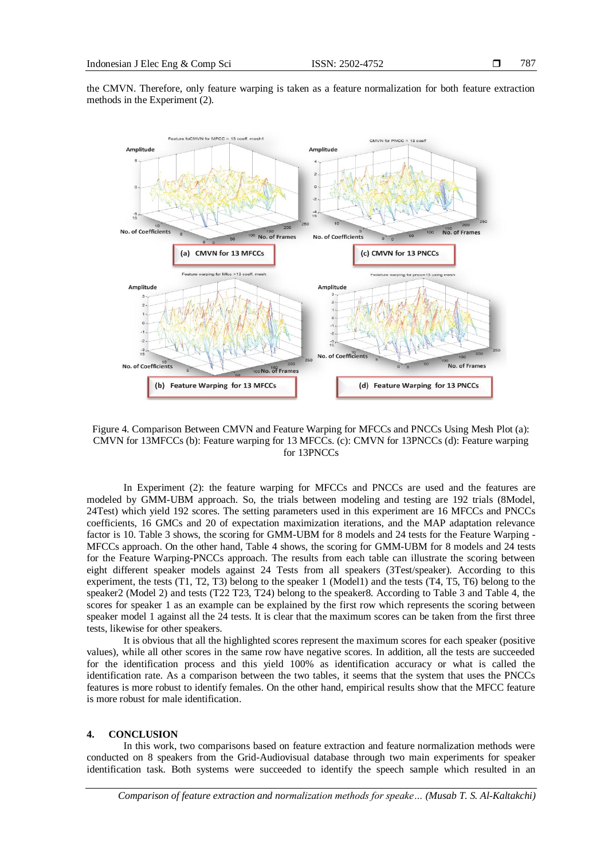the CMVN. Therefore, only feature warping is taken as a feature normalization for both feature extraction methods in the Experiment (2).



Figure 4. Comparison Between CMVN and Feature Warping for MFCCs and PNCCs Using Mesh Plot (a): CMVN for 13MFCCs (b): Feature warping for 13 MFCCs. (c): CMVN for 13PNCCs (d): Feature warping for 13PNCCs

In Experiment (2): the feature warping for MFCCs and PNCCs are used and the features are modeled by GMM-UBM approach. So, the trials between modeling and testing are 192 trials (8Model, 24Test) which yield 192 scores. The setting parameters used in this experiment are 16 MFCCs and PNCCs coefficients, 16 GMCs and 20 of expectation maximization iterations, and the MAP adaptation relevance factor is 10. Table 3 shows, the scoring for GMM-UBM for 8 models and 24 tests for the Feature Warping - MFCCs approach. On the other hand, Table 4 shows, the scoring for GMM-UBM for 8 models and 24 tests for the Feature Warping-PNCCs approach. The results from each table can illustrate the scoring between eight different speaker models against 24 Tests from all speakers (3Test/speaker). According to this experiment, the tests (T1, T2, T3) belong to the speaker 1 (Model1) and the tests (T4, T5, T6) belong to the speaker2 (Model 2) and tests (T22 T23, T24) belong to the speaker8. According to Table 3 and Table 4, the scores for speaker 1 as an example can be explained by the first row which represents the scoring between speaker model 1 against all the 24 tests. It is clear that the maximum scores can be taken from the first three tests, likewise for other speakers.

It is obvious that all the highlighted scores represent the maximum scores for each speaker (positive values), while all other scores in the same row have negative scores. In addition, all the tests are succeeded for the identification process and this yield 100% as identification accuracy or what is called the identification rate. As a comparison between the two tables, it seems that the system that uses the PNCCs features is more robust to identify females. On the other hand, empirical results show that the MFCC feature is more robust for male identification.

# **4. CONCLUSION**

In this work, two comparisons based on feature extraction and feature normalization methods were conducted on 8 speakers from the Grid-Audiovisual database through two main experiments for speaker identification task. Both systems were succeeded to identify the speech sample which resulted in an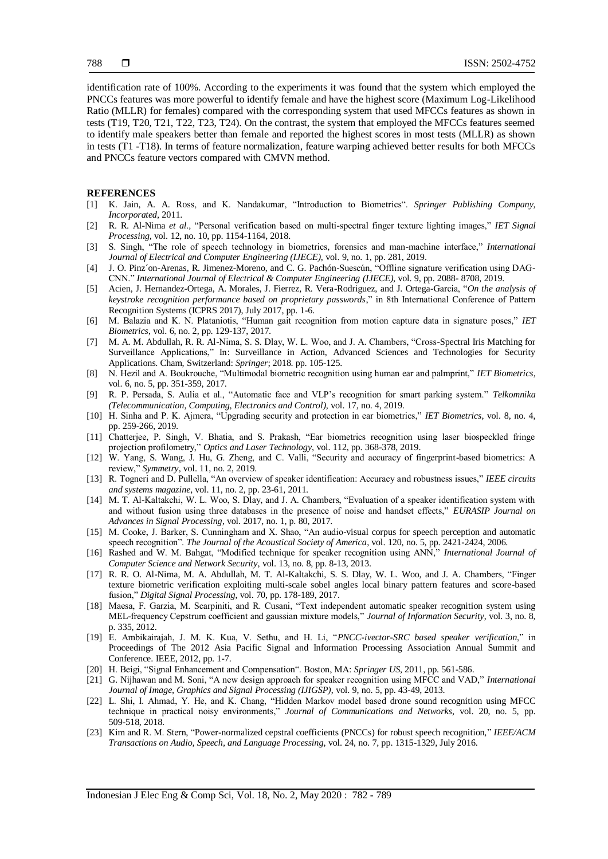identification rate of 100%. According to the experiments it was found that the system which employed the PNCCs features was more powerful to identify female and have the highest score (Maximum Log-Likelihood Ratio (MLLR) for females) compared with the corresponding system that used MFCCs features as shown in tests (T19, T20, T21, T22, T23, T24). On the contrast, the system that employed the MFCCs features seemed to identify male speakers better than female and reported the highest scores in most tests (MLLR) as shown in tests (T1 -T18). In terms of feature normalization, feature warping achieved better results for both MFCCs and PNCCs feature vectors compared with CMVN method.

#### **REFERENCES**

- [1] K. Jain, A. A. Ross, and K. Nandakumar, "Introduction to Biometrics". *Springer Publishing Company, Incorporated*, 2011.
- [2] R. R. Al-Nima *et al.,* "Personal verification based on multi-spectral finger texture lighting images," *IET Signal Processing*, vol. 12, no. 10, pp. 1154-1164, 2018.
- [3] S. Singh, "The role of speech technology in biometrics, forensics and man-machine interface," *International Journal of Electrical and Computer Engineering (IJECE),* vol. 9, no. 1, pp. 281, 2019.
- [4] J. O. Pinz´on-Arenas, R. Jimenez-Moreno, and C. G. Pachón-Suescún, "Offline signature verification using DAG-CNN." *International Journal of Electrical & Computer Engineering (IJECE)*, vol. 9, pp. 2088- 8708, 2019.
- [5] Acien, J. Hernandez-Ortega, A. Morales, J. Fierrez, R. Vera-Rodriguez, and J. Ortega-Garcia, "*On the analysis of keystroke recognition performance based on proprietary passwords*," in 8th International Conference of Pattern Recognition Systems (ICPRS 2017), July 2017, pp. 1-6.
- [6] M. Balazia and K. N. Plataniotis, "Human gait recognition from motion capture data in signature poses," *IET Biometrics*, vol. 6, no. 2, pp. 129-137, 2017.
- [7] M. A. M. Abdullah, R. R. Al-Nima, S. S. Dlay, W. L. Woo, and J. A. Chambers, "Cross-Spectral Iris Matching for Surveillance Applications," In: Surveillance in Action, Advanced Sciences and Technologies for Security Applications. Cham, Switzerland: *Springer*; 2018. pp. 105-125.
- [8] N. Hezil and A. Boukrouche, "Multimodal biometric recognition using human ear and palmprint," *IET Biometrics*, vol. 6, no. 5, pp. 351-359, 2017.
- [9] R. P. Persada, S. Aulia et al., "Automatic face and VLP's recognition for smart parking system." *Telkomnika (Telecommunication, Computing, Electronics and Control),* vol. 17, no. 4, 2019.
- [10] H. Sinha and P. K. Ajmera, "Upgrading security and protection in ear biometrics," *IET Biometrics*, vol. 8, no. 4, pp. 259-266, 2019.
- [11] Chatterjee, P. Singh, V. Bhatia, and S. Prakash, "Ear biometrics recognition using laser biospeckled fringe projection profilometry," *Optics and Laser Technology*, vol. 112, pp. 368-378, 2019.
- [12] W. Yang, S. Wang, J. Hu, G. Zheng, and C. Valli, "Security and accuracy of fingerprint-based biometrics: A review," *Symmetry*, vol. 11, no. 2, 2019.
- [13] R. Togneri and D. Pullella, "An overview of speaker identification: Accuracy and robustness issues," *IEEE circuits and systems magazine*, vol. 11, no. 2, pp. 23-61, 2011.
- [14] M. T. Al-Kaltakchi, W. L. Woo, S. Dlay, and J. A. Chambers, "Evaluation of a speaker identification system with and without fusion using three databases in the presence of noise and handset effects," *EURASIP Journal on Advances in Signal Processing*, vol. 2017, no. 1, p. 80, 2017.
- [15] M. Cooke, J. Barker, S. Cunningham and X. Shao, "An audio-visual corpus for speech perception and automatic speech recognition". *The Journal of the Acoustical Society of America*, vol. 120, no. 5, pp. 2421-2424, 2006.
- [16] Rashed and W. M. Bahgat, "Modified technique for speaker recognition using ANN," *International Journal of Computer Science and Network Security*, vol. 13, no. 8, pp. 8-13, 2013.
- [17] R. R. O. Al-Nima, M. A. Abdullah, M. T. Al-Kaltakchi, S. S. Dlay, W. L. Woo, and J. A. Chambers, "Finger texture biometric verification exploiting multi-scale sobel angles local binary pattern features and score-based fusion," *Digital Signal Processing*, vol. 70, pp. 178-189, 2017.
- [18] Maesa, F. Garzia, M. Scarpiniti, and R. Cusani, "Text independent automatic speaker recognition system using MEL-frequency Cepstrum coefficient and gaussian mixture models," *Journal of Information Security*, vol. 3, no. 8, p. 335, 2012.
- [19] E. Ambikairajah, J. M. K. Kua, V. Sethu, and H. Li, "*PNCC-ivector-SRC based speaker verification*," in Proceedings of The 2012 Asia Pacific Signal and Information Processing Association Annual Summit and Conference. IEEE, 2012, pp. 1-7.
- [20] H. Beigi, "Signal Enhancement and Compensation". Boston, MA: *Springer US*, 2011, pp. 561-586.
- [21] G. Nijhawan and M. Soni, "A new design approach for speaker recognition using MFCC and VAD," *International Journal of Image, Graphics and Signal Processing (IJIGSP)*, vol. 9, no. 5, pp. 43-49, 2013.
- [22] L. Shi, I. Ahmad, Y. He, and K. Chang, "Hidden Markov model based drone sound recognition using MFCC technique in practical noisy environments," *Journal of Communications and Networks*, vol. 20, no. 5, pp. 509-518, 2018.
- [23] Kim and R. M. Stern, "Power-normalized cepstral coefficients (PNCCs) for robust speech recognition," *IEEE/ACM Transactions on Audio, Speech, and Language Processing*, vol. 24, no. 7, pp. 1315-1329, July 2016.